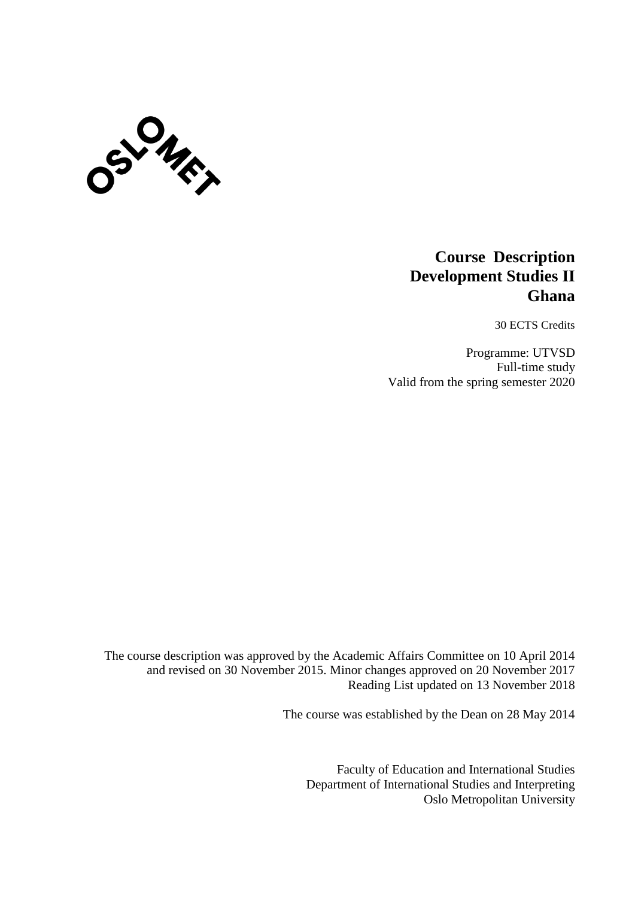

# **Course Description Development Studies II Ghana**

30 ECTS Credits

Programme: UTVSD Full-time study Valid from the spring semester 2020

The course description was approved by the Academic Affairs Committee on 10 April 2014 and revised on 30 November 2015. Minor changes approved on 20 November 2017 Reading List updated on 13 November 2018

The course was established by the Dean on 28 May 2014

Faculty of Education and International Studies Department of International Studies and Interpreting Oslo Metropolitan University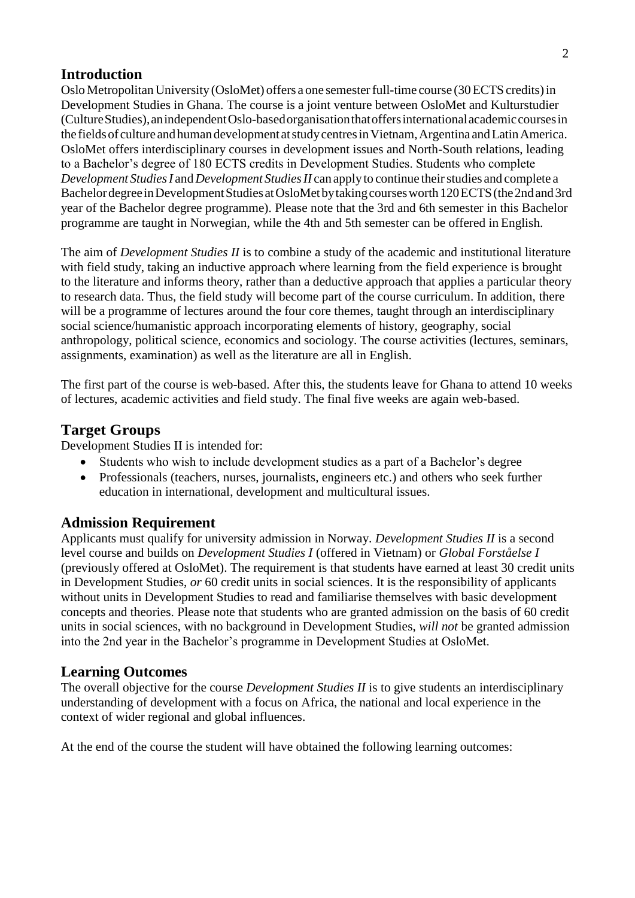# **Introduction**

OsloMetropolitanUniversity(OsloMet) offers a one semesterfull-time course (30ECTS credits)in Development Studies in Ghana. The course is a joint venture between OsloMet and Kulturstudier (CultureStudies),anindependentOslo-basedorganisationthatoffersinternationalacademiccoursesin the fields of culture and human development at study centres in Vietnam, Argentina and Latin America. OsloMet offers interdisciplinary courses in development issues and North-South relations, leading to a Bachelor's degree of 180 ECTS credits in Development Studies. Students who complete *Development Studies I* and *Development Studies II* can apply to continue their studies and complete a Bachelor degree in Development Studies at OsloMet by taking courses worth 120 ECTS (the 2nd and 3rd year of the Bachelor degree programme). Please note that the 3rd and 6th semester in this Bachelor programme are taught in Norwegian, while the 4th and 5th semester can be offered in English.

The aim of *Development Studies II* is to combine a study of the academic and institutional literature with field study, taking an inductive approach where learning from the field experience is brought to the literature and informs theory, rather than a deductive approach that applies a particular theory to research data. Thus, the field study will become part of the course curriculum. In addition, there will be a programme of lectures around the four core themes, taught through an interdisciplinary social science/humanistic approach incorporating elements of history, geography, social anthropology, political science, economics and sociology. The course activities (lectures, seminars, assignments, examination) as well as the literature are all in English.

The first part of the course is web-based. After this, the students leave for Ghana to attend 10 weeks of lectures, academic activities and field study. The final five weeks are again web-based.

# **Target Groups**

Development Studies II is intended for:

- Students who wish to include development studies as a part of a Bachelor's degree
- Professionals (teachers, nurses, journalists, engineers etc.) and others who seek further education in international, development and multicultural issues.

#### **Admission Requirement**

Applicants must qualify for university admission in Norway. *Development Studies II* is a second level course and builds on *Development Studies I* (offered in Vietnam) or *Global Forståelse I*  (previously offered at OsloMet). The requirement is that students have earned at least 30 credit units in Development Studies, *or* 60 credit units in social sciences. It is the responsibility of applicants without units in Development Studies to read and familiarise themselves with basic development concepts and theories. Please note that students who are granted admission on the basis of 60 credit units in social sciences, with no background in Development Studies, *will not* be granted admission into the 2nd year in the Bachelor's programme in Development Studies at OsloMet.

#### **Learning Outcomes**

The overall objective for the course *Development Studies II* is to give students an interdisciplinary understanding of development with a focus on Africa, the national and local experience in the context of wider regional and global influences.

At the end of the course the student will have obtained the following learning outcomes: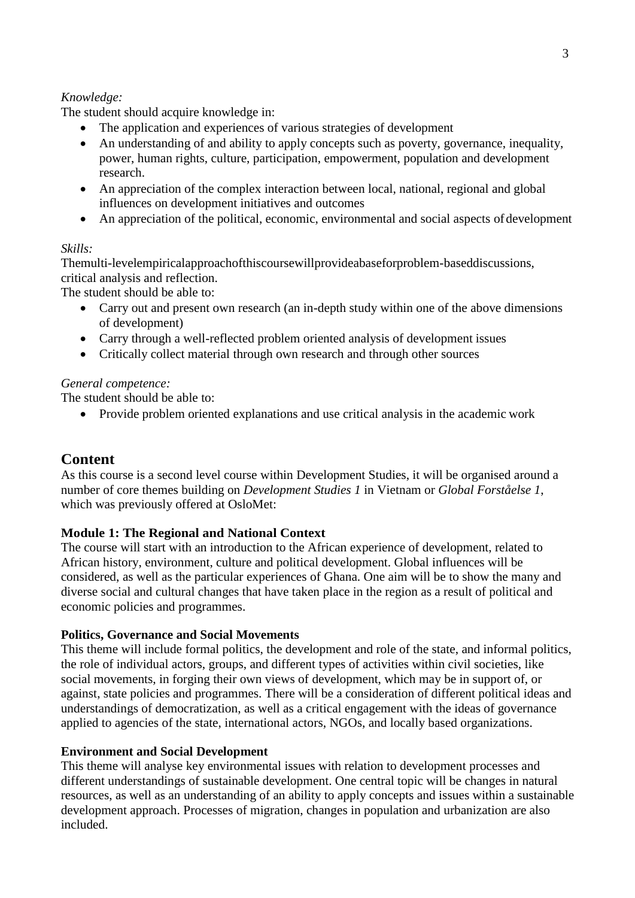# *Knowledge:*

The student should acquire knowledge in:

- The application and experiences of various strategies of development
- An understanding of and ability to apply concepts such as poverty, governance, inequality, power, human rights, culture, participation, empowerment, population and development research.
- An appreciation of the complex interaction between local, national, regional and global influences on development initiatives and outcomes
- An appreciation of the political, economic, environmental and social aspects of development

#### *Skills:*

Themulti-levelempiricalapproachofthiscoursewillprovideabaseforproblem-baseddiscussions, critical analysis and reflection.

The student should be able to:

- Carry out and present own research (an in-depth study within one of the above dimensions of development)
- Carry through a well-reflected problem oriented analysis of development issues
- Critically collect material through own research and through other sources

# *General competence:*

The student should be able to:

Provide problem oriented explanations and use critical analysis in the academic work

# **Content**

As this course is a second level course within Development Studies, it will be organised around a number of core themes building on *Development Studies 1* in Vietnam or *Global Forståelse 1*, which was previously offered at OsloMet:

# **Module 1: The Regional and National Context**

The course will start with an introduction to the African experience of development, related to African history, environment, culture and political development. Global influences will be considered, as well as the particular experiences of Ghana. One aim will be to show the many and diverse social and cultural changes that have taken place in the region as a result of political and economic policies and programmes.

#### **Politics, Governance and Social Movements**

This theme will include formal politics, the development and role of the state, and informal politics, the role of individual actors, groups, and different types of activities within civil societies, like social movements, in forging their own views of development, which may be in support of, or against, state policies and programmes. There will be a consideration of different political ideas and understandings of democratization, as well as a critical engagement with the ideas of governance applied to agencies of the state, international actors, NGOs, and locally based organizations.

#### **Environment and Social Development**

This theme will analyse key environmental issues with relation to development processes and different understandings of sustainable development. One central topic will be changes in natural resources, as well as an understanding of an ability to apply concepts and issues within a sustainable development approach. Processes of migration, changes in population and urbanization are also included.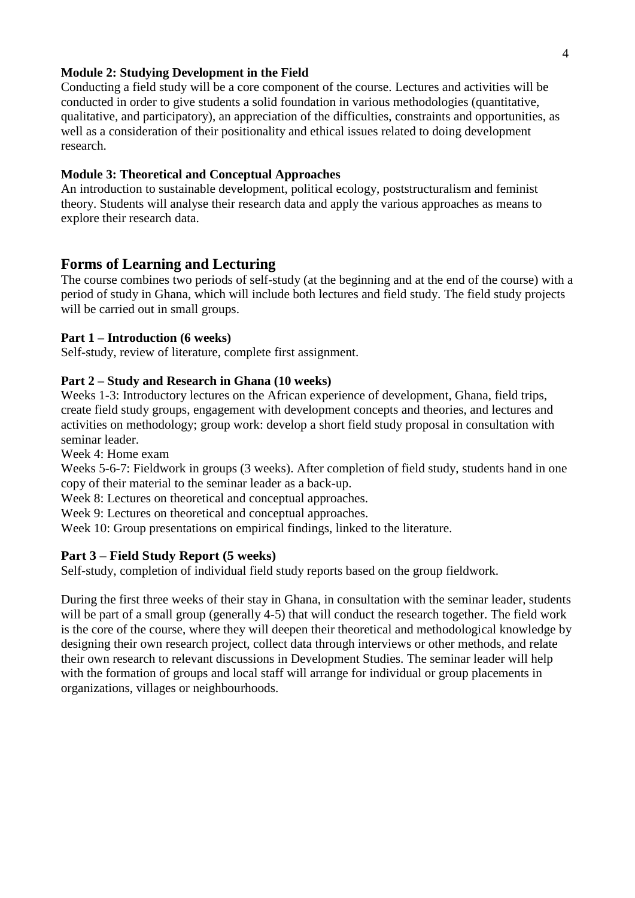#### **Module 2: Studying Development in the Field**

Conducting a field study will be a core component of the course. Lectures and activities will be conducted in order to give students a solid foundation in various methodologies (quantitative, qualitative, and participatory), an appreciation of the difficulties, constraints and opportunities, as well as a consideration of their positionality and ethical issues related to doing development research.

#### **Module 3: Theoretical and Conceptual Approaches**

An introduction to sustainable development, political ecology, poststructuralism and feminist theory. Students will analyse their research data and apply the various approaches as means to explore their research data.

# **Forms of Learning and Lecturing**

The course combines two periods of self-study (at the beginning and at the end of the course) with a period of study in Ghana, which will include both lectures and field study. The field study projects will be carried out in small groups.

#### **Part 1 – Introduction (6 weeks)**

Self-study, review of literature, complete first assignment.

#### **Part 2 – Study and Research in Ghana (10 weeks)**

Weeks 1-3: Introductory lectures on the African experience of development, Ghana, field trips, create field study groups, engagement with development concepts and theories, and lectures and activities on methodology; group work: develop a short field study proposal in consultation with seminar leader.

Week 4: Home exam

Weeks 5-6-7: Fieldwork in groups (3 weeks). After completion of field study, students hand in one copy of their material to the seminar leader as a back-up.

Week 8: Lectures on theoretical and conceptual approaches.

Week 9: Lectures on theoretical and conceptual approaches.

Week 10: Group presentations on empirical findings, linked to the literature.

#### **Part 3 – Field Study Report (5 weeks)**

Self-study, completion of individual field study reports based on the group fieldwork.

During the first three weeks of their stay in Ghana, in consultation with the seminar leader, students will be part of a small group (generally 4-5) that will conduct the research together. The field work is the core of the course, where they will deepen their theoretical and methodological knowledge by designing their own research project, collect data through interviews or other methods, and relate their own research to relevant discussions in Development Studies. The seminar leader will help with the formation of groups and local staff will arrange for individual or group placements in organizations, villages or neighbourhoods.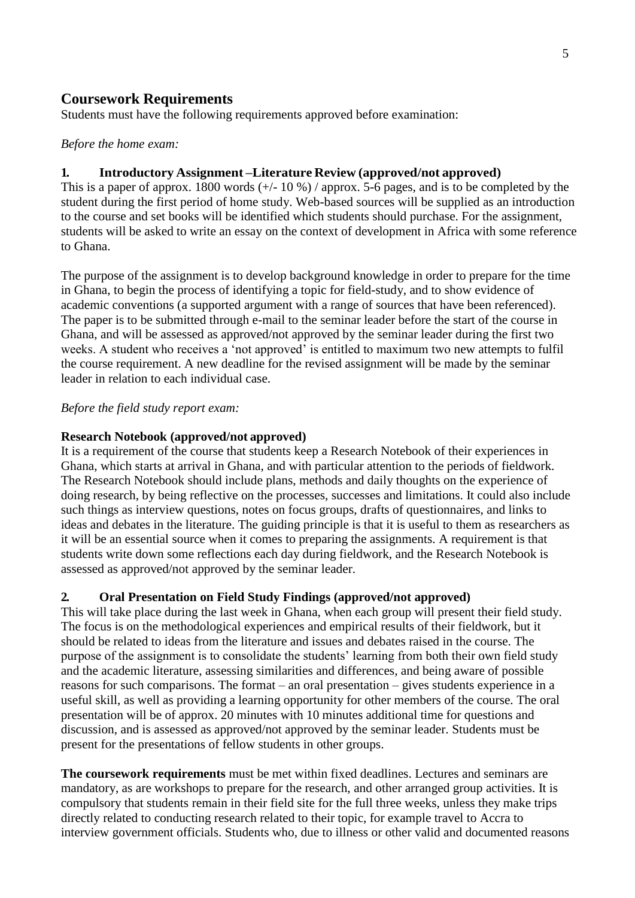# **Coursework Requirements**

Students must have the following requirements approved before examination:

#### *Before the home exam:*

# **1. Introductory Assignment –Literature Review (approved/not approved)**

This is a paper of approx. 1800 words  $(+/- 10\%)$  / approx. 5-6 pages, and is to be completed by the student during the first period of home study. Web-based sources will be supplied as an introduction to the course and set books will be identified which students should purchase. For the assignment, students will be asked to write an essay on the context of development in Africa with some reference to Ghana.

The purpose of the assignment is to develop background knowledge in order to prepare for the time in Ghana, to begin the process of identifying a topic for field-study, and to show evidence of academic conventions (a supported argument with a range of sources that have been referenced). The paper is to be submitted through e-mail to the seminar leader before the start of the course in Ghana, and will be assessed as approved/not approved by the seminar leader during the first two weeks. A student who receives a 'not approved' is entitled to maximum two new attempts to fulfil the course requirement. A new deadline for the revised assignment will be made by the seminar leader in relation to each individual case.

#### *Before the field study report exam:*

# **Research Notebook (approved/not approved)**

It is a requirement of the course that students keep a Research Notebook of their experiences in Ghana, which starts at arrival in Ghana, and with particular attention to the periods of fieldwork. The Research Notebook should include plans, methods and daily thoughts on the experience of doing research, by being reflective on the processes, successes and limitations. It could also include such things as interview questions, notes on focus groups, drafts of questionnaires, and links to ideas and debates in the literature. The guiding principle is that it is useful to them as researchers as it will be an essential source when it comes to preparing the assignments. A requirement is that students write down some reflections each day during fieldwork, and the Research Notebook is assessed as approved/not approved by the seminar leader.

#### **2. Oral Presentation on Field Study Findings (approved/not approved)**

This will take place during the last week in Ghana, when each group will present their field study. The focus is on the methodological experiences and empirical results of their fieldwork, but it should be related to ideas from the literature and issues and debates raised in the course. The purpose of the assignment is to consolidate the students' learning from both their own field study and the academic literature, assessing similarities and differences, and being aware of possible reasons for such comparisons. The format – an oral presentation – gives students experience in a useful skill, as well as providing a learning opportunity for other members of the course. The oral presentation will be of approx. 20 minutes with 10 minutes additional time for questions and discussion, and is assessed as approved/not approved by the seminar leader. Students must be present for the presentations of fellow students in other groups.

**The coursework requirements** must be met within fixed deadlines. Lectures and seminars are mandatory, as are workshops to prepare for the research, and other arranged group activities. It is compulsory that students remain in their field site for the full three weeks, unless they make trips directly related to conducting research related to their topic, for example travel to Accra to interview government officials. Students who, due to illness or other valid and documented reasons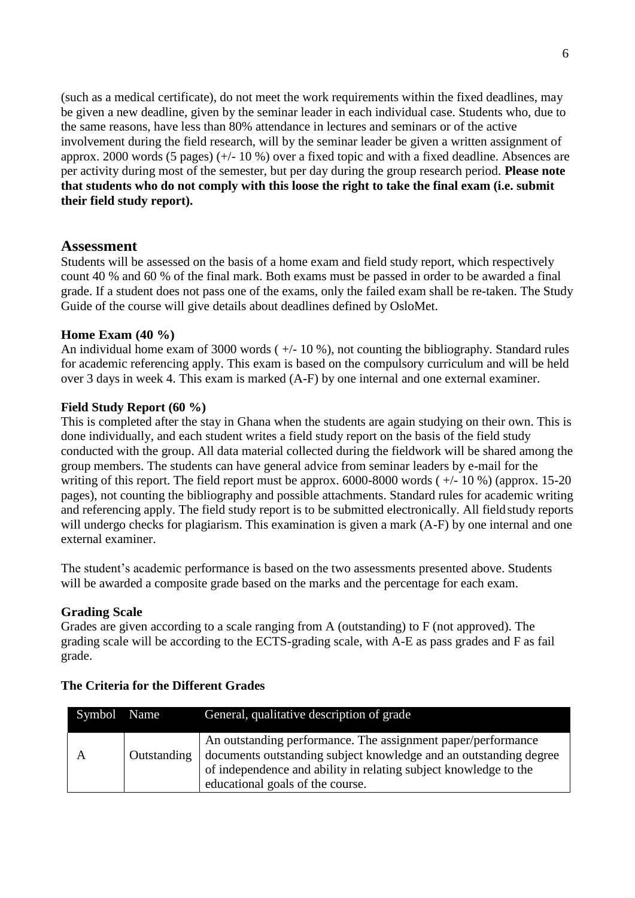(such as a medical certificate), do not meet the work requirements within the fixed deadlines, may be given a new deadline, given by the seminar leader in each individual case. Students who, due to the same reasons, have less than 80% attendance in lectures and seminars or of the active involvement during the field research, will by the seminar leader be given a written assignment of approx. 2000 words (5 pages) (+/- 10 %) over a fixed topic and with a fixed deadline. Absences are per activity during most of the semester, but per day during the group research period. **Please note that students who do not comply with this loose the right to take the final exam (i.e. submit their field study report).**

#### **Assessment**

Students will be assessed on the basis of a home exam and field study report, which respectively count 40 % and 60 % of the final mark. Both exams must be passed in order to be awarded a final grade. If a student does not pass one of the exams, only the failed exam shall be re-taken. The Study Guide of the course will give details about deadlines defined by OsloMet.

#### **Home Exam (40 %)**

An individual home exam of 3000 words  $(+/-10\%)$ , not counting the bibliography. Standard rules for academic referencing apply. This exam is based on the compulsory curriculum and will be held over 3 days in week 4. This exam is marked (A-F) by one internal and one external examiner.

#### **Field Study Report (60 %)**

This is completed after the stay in Ghana when the students are again studying on their own. This is done individually, and each student writes a field study report on the basis of the field study conducted with the group. All data material collected during the fieldwork will be shared among the group members. The students can have general advice from seminar leaders by e-mail for the writing of this report. The field report must be approx. 6000-8000 words ( $+/-10\%$ ) (approx. 15-20 pages), not counting the bibliography and possible attachments. Standard rules for academic writing and referencing apply. The field study report is to be submitted electronically. All fieldstudy reports will undergo checks for plagiarism. This examination is given a mark (A-F) by one internal and one external examiner.

The student's academic performance is based on the two assessments presented above. Students will be awarded a composite grade based on the marks and the percentage for each exam.

#### **Grading Scale**

Grades are given according to a scale ranging from A (outstanding) to F (not approved). The grading scale will be according to the ECTS-grading scale, with A-E as pass grades and F as fail grade.

| Symbol Name |             | General, qualitative description of grade                                                                                                                                                                                                 |
|-------------|-------------|-------------------------------------------------------------------------------------------------------------------------------------------------------------------------------------------------------------------------------------------|
|             | Outstanding | An outstanding performance. The assignment paper/performance<br>documents outstanding subject knowledge and an outstanding degree<br>of independence and ability in relating subject knowledge to the<br>educational goals of the course. |

#### **The Criteria for the Different Grades**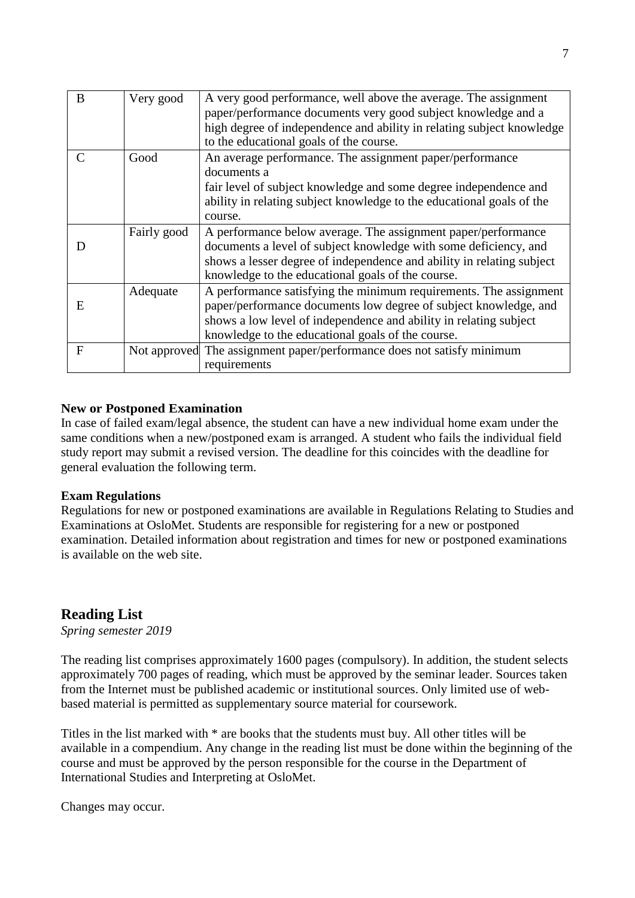| B           | Very good   | A very good performance, well above the average. The assignment<br>paper/performance documents very good subject knowledge and a<br>high degree of independence and ability in relating subject knowledge<br>to the educational goals of the course.            |
|-------------|-------------|-----------------------------------------------------------------------------------------------------------------------------------------------------------------------------------------------------------------------------------------------------------------|
| C           | Good        | An average performance. The assignment paper/performance<br>documents a<br>fair level of subject knowledge and some degree independence and<br>ability in relating subject knowledge to the educational goals of the<br>course.                                 |
|             | Fairly good | A performance below average. The assignment paper/performance<br>documents a level of subject knowledge with some deficiency, and<br>shows a lesser degree of independence and ability in relating subject<br>knowledge to the educational goals of the course. |
| E           | Adequate    | A performance satisfying the minimum requirements. The assignment<br>paper/performance documents low degree of subject knowledge, and<br>shows a low level of independence and ability in relating subject<br>knowledge to the educational goals of the course. |
| $\mathbf F$ |             | Not approved The assignment paper/performance does not satisfy minimum<br>requirements                                                                                                                                                                          |

# **New or Postponed Examination**

In case of failed exam/legal absence, the student can have a new individual home exam under the same conditions when a new/postponed exam is arranged. A student who fails the individual field study report may submit a revised version. The deadline for this coincides with the deadline for general evaluation the following term.

#### **Exam Regulations**

Regulations for new or postponed examinations are available in Regulations Relating to Studies and Examinations at OsloMet. Students are responsible for registering for a new or postponed examination. Detailed information about registration and times for new or postponed examinations is available on the web site.

# **Reading List**

*Spring semester 2019*

The reading list comprises approximately 1600 pages (compulsory). In addition, the student selects approximately 700 pages of reading, which must be approved by the seminar leader. Sources taken from the Internet must be published academic or institutional sources. Only limited use of webbased material is permitted as supplementary source material for coursework.

Titles in the list marked with \* are books that the students must buy. All other titles will be available in a compendium. Any change in the reading list must be done within the beginning of the course and must be approved by the person responsible for the course in the Department of International Studies and Interpreting at OsloMet.

Changes may occur.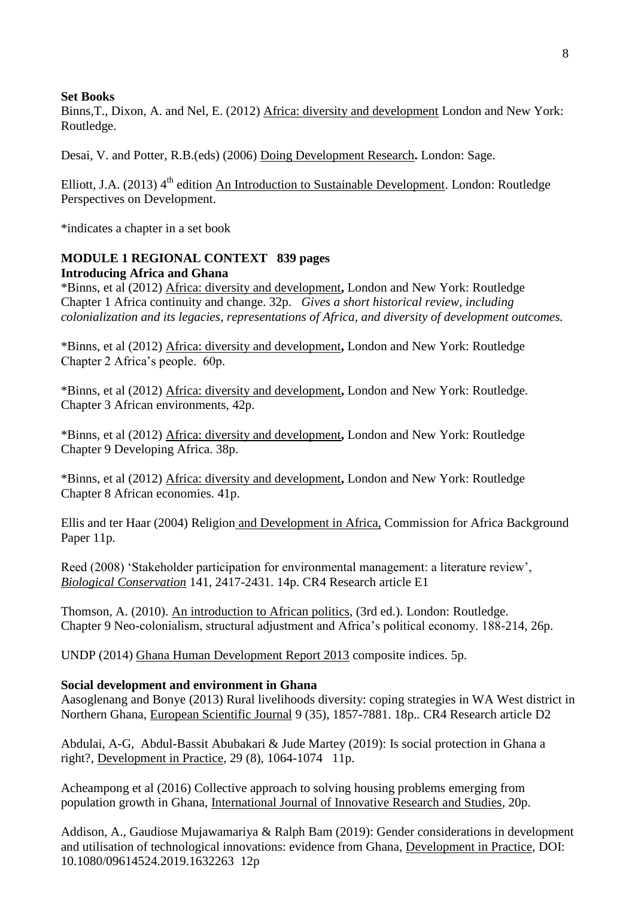#### **Set Books**

Binns,T., Dixon, A. and Nel, E. (2012) Africa: diversity and development London and New York: Routledge.

Desai, V. and Potter, R.B.(eds) (2006) Doing Development Research**.** London: Sage.

Elliott, J.A.  $(2013)$  4<sup>th</sup> edition An Introduction to Sustainable Development. London: Routledge Perspectives on Development.

\*indicates a chapter in a set book

# **MODULE 1 REGIONAL CONTEXT 839 pages Introducing Africa and Ghana**

\*Binns, et al (2012) Africa: diversity and development**,** London and New York: Routledge Chapter 1 Africa continuity and change. 32p. *Gives a short historical review, including colonialization and its legacies, representations of Africa, and diversity of development outcomes.*

\*Binns, et al (2012) Africa: diversity and development**,** London and New York: Routledge Chapter 2 Africa's people. 60p.

\*Binns, et al (2012) Africa: diversity and development**,** London and New York: Routledge. Chapter 3 African environments, 42p.

\*Binns, et al (2012) Africa: diversity and development**,** London and New York: Routledge Chapter 9 Developing Africa. 38p.

\*Binns, et al (2012) Africa: diversity and development**,** London and New York: Routledge Chapter 8 African economies. 41p.

Ellis and ter Haar (2004) Religion and Development in Africa, Commission for Africa Background Paper 11p.

Reed (2008) 'Stakeholder participation for environmental management: a literature review', *Biological Conservation* 141, 2417-2431. 14p. CR4 Research article E1

Thomson, A. (2010). An introduction to African politics, (3rd ed.). London: Routledge. Chapter 9 Neo-colonialism, structural adjustment and Africa's political economy. 188-214, 26p.

UNDP (2014) Ghana Human Development Report 2013 composite indices. 5p.

# **Social development and environment in Ghana**

Aasoglenang and Bonye (2013) Rural livelihoods diversity: coping strategies in WA West district in Northern Ghana, European Scientific Journal 9 (35), 1857-7881. 18p.*.* CR4 Research article D2

Abdulai, A-G, Abdul-Bassit Abubakari & Jude Martey (2019): Is social protection in Ghana a right?, Development in Practice, 29 (8), 1064-1074 11p.

Acheampong et al (2016) Collective approach to solving housing problems emerging from population growth in Ghana, International Journal of Innovative Research and Studies, 20p.

Addison, A., Gaudiose Mujawamariya & Ralph Bam (2019): Gender considerations in development and utilisation of technological innovations: evidence from Ghana, Development in Practice, DOI: 10.1080/09614524.2019.1632263 12p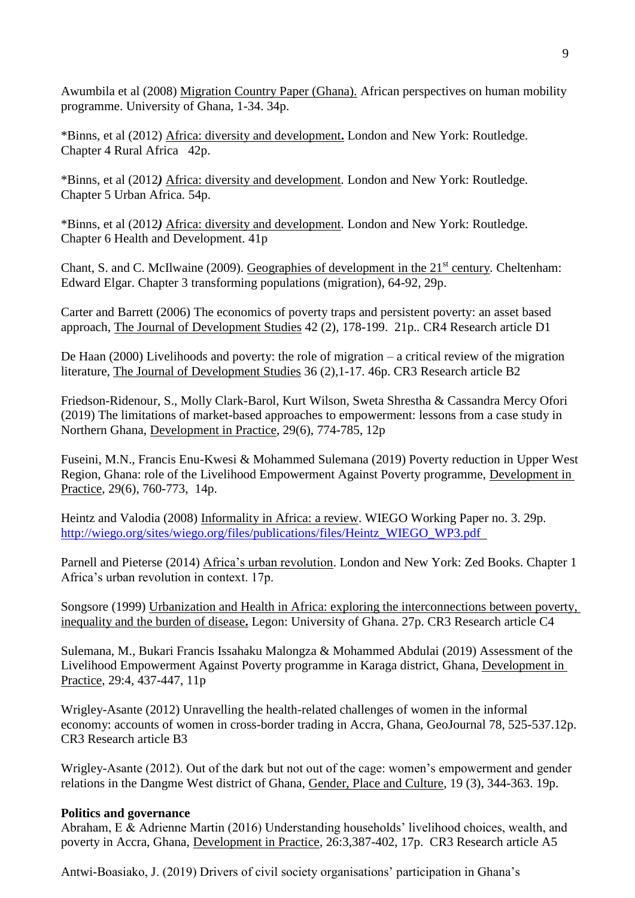Awumbila et al (2008) Migration Country Paper (Ghana). African perspectives on human mobility programme. University of Ghana, 1-34. 34p.

\*Binns, et al (2012) Africa: diversity and development**.** London and New York: Routledge. Chapter 4 Rural Africa 42p.

\*Binns, et al (2012*)* Africa: diversity and development*.* London and New York: Routledge. Chapter 5 Urban Africa. 54p.

\*Binns, et al (2012*)* Africa: diversity and development*.* London and New York: Routledge. Chapter 6 Health and Development. 41p

Chant, S. and C. McIlwaine (2009). Geographies of development in the 21<sup>st</sup> century. Cheltenham: Edward Elgar. Chapter 3 transforming populations (migration), 64-92, 29p.

Carter and Barrett (2006) The economics of poverty traps and persistent poverty: an asset based approach, The Journal of Development Studies 42 (2), 178-199. 21p.*.* CR4 Research article D1

De Haan (2000) Livelihoods and poverty: the role of migration – a critical review of the migration literature, The Journal of Development Studies 36 (2),1-17. 46p. CR3 Research article B2

Friedson-Ridenour, S., Molly Clark-Barol, Kurt Wilson, Sweta Shrestha & Cassandra Mercy Ofori (2019) The limitations of market-based approaches to empowerment: lessons from a case study in Northern Ghana, Development in Practice, 29(6), 774-785, 12p

Fuseini, M.N., Francis Enu-Kwesi & Mohammed Sulemana (2019) Poverty reduction in Upper West Region, Ghana: role of the Livelihood Empowerment Against Poverty programme, Development in Practice, 29(6), 760-773, 14p.

Heintz and Valodia (2008) Informality in Africa: a review. WIEGO Working Paper no. 3. 29p. [http://wiego.org/sites/wiego.org/files/publications/files/Heintz\\_WIEGO\\_WP3.pdf](http://wiego.org/sites/wiego.org/files/publications/files/Heintz_WIEGO_WP3.pdf) 

Parnell and Pieterse (2014) Africa's urban revolution. London and New York: Zed Books. Chapter 1 Africa's urban revolution in context. 17p.

Songsore (1999) Urbanization and Health in Africa: exploring the interconnections between poverty, inequality and the burden of disease**.** Legon: University of Ghana. 27p. CR3 Research article C4

Sulemana, M., Bukari Francis Issahaku Malongza & Mohammed Abdulai (2019) Assessment of the Livelihood Empowerment Against Poverty programme in Karaga district, Ghana, Development in Practice, 29:4, 437-447, 11p

Wrigley-Asante (2012) Unravelling the health-related challenges of women in the informal economy: accounts of women in cross-border trading in Accra, Ghana, GeoJournal 78, 525-537.12p. CR3 Research article B3

Wrigley-Asante (2012). Out of the dark but not out of the cage: women's empowerment and gender relations in the Dangme West district of Ghana, Gender, Place and Culture, 19 (3), 344-363. 19p.

#### **Politics and governance**

Abraham, E & Adrienne Martin (2016) Understanding households' livelihood choices, wealth, and poverty in Accra, Ghana, Development in Practice, 26:3,387-402, 17p. CR3 Research article A5

Antwi-Boasiako, J. (2019) Drivers of civil society organisations' participation in Ghana's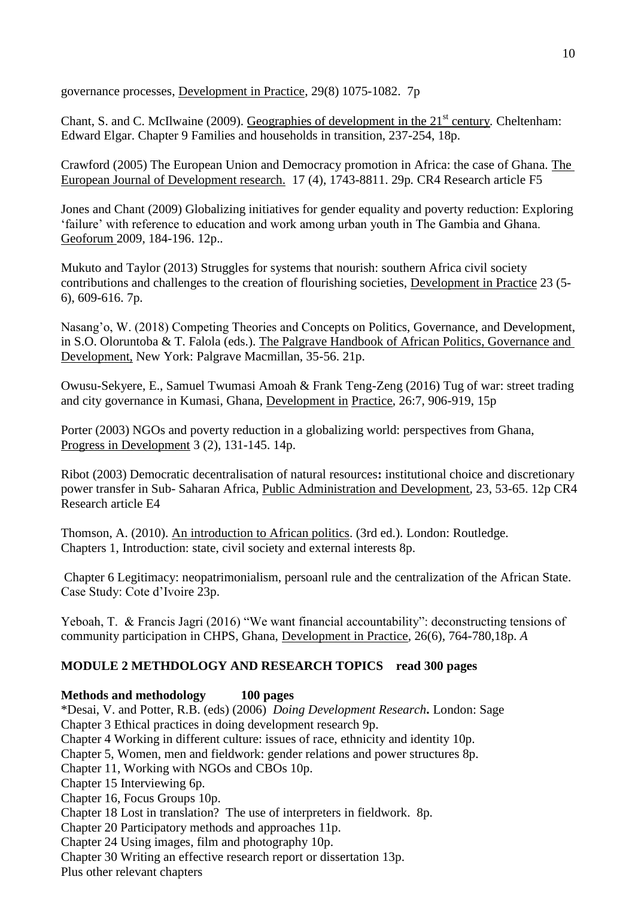governance processes, Development in Practice, 29(8) 1075-1082. 7p

Chant, S. and C. McIlwaine (2009). Geographies of development in the 21<sup>st</sup> century. Cheltenham: Edward Elgar. Chapter 9 Families and households in transition, 237-254, 18p.

Crawford (2005) The European Union and Democracy promotion in Africa: the case of Ghana. The European Journal of Development research. 17 (4), 1743-8811. 29p*.* CR4 Research article F5

Jones and Chant (2009) Globalizing initiatives for gender equality and poverty reduction: Exploring 'failure' with reference to education and work among urban youth in The Gambia and Ghana. Geoforum 2009*,* 184-196. 12p.*.*

Mukuto and Taylor (2013) Struggles for systems that nourish: southern Africa civil society contributions and challenges to the creation of flourishing societies, Development in Practice 23 (5- 6), 609-616. 7p.

Nasang'o, W. (2018) Competing Theories and Concepts on Politics, Governance, and Development, in S.O. Oloruntoba & T. Falola (eds.). The Palgrave Handbook of African Politics, Governance and Development, New York: Palgrave Macmillan, 35-56. 21p.

Owusu-Sekyere, E., Samuel Twumasi Amoah & Frank Teng-Zeng (2016) Tug of war: street trading and city governance in Kumasi, Ghana, Development in Practice, 26:7, 906-919, 15p

Porter (2003) NGOs and poverty reduction in a globalizing world: perspectives from Ghana, Progress in Development 3 (2), 131-145. 14p.

Ribot (2003) Democratic decentralisation of natural resources**:** institutional choice and discretionary power transfer in Sub- Saharan Africa, Public Administration and Development*,* 23, 53-65. 12p CR4 Research article E4

Thomson, A. (2010). An introduction to African politics. (3rd ed.). London: Routledge. Chapters 1, Introduction: state, civil society and external interests 8p.

Chapter 6 Legitimacy: neopatrimonialism, persoanl rule and the centralization of the African State. Case Study: Cote d'Ivoire 23p.

Yeboah, T. & Francis Jagri (2016) "We want financial accountability": deconstructing tensions of community participation in CHPS, Ghana, Development in Practice, 26(6), 764-780,18p. *A* 

# **MODULE 2 METHDOLOGY AND RESEARCH TOPICS read 300 pages**

# **Methods and methodology 100 pages**

\*Desai, V. and Potter, R.B. (eds) (2006) *Doing Development Research***.** London: Sage Chapter 3 Ethical practices in doing development research 9p. Chapter 4 Working in different culture: issues of race, ethnicity and identity 10p. Chapter 5, Women, men and fieldwork: gender relations and power structures 8p. Chapter 11, Working with NGOs and CBOs 10p. Chapter 15 Interviewing 6p. Chapter 16, Focus Groups 10p. Chapter 18 Lost in translation? The use of interpreters in fieldwork. 8p. Chapter 20 Participatory methods and approaches 11p. Chapter 24 Using images, film and photography 10p. Chapter 30 Writing an effective research report or dissertation 13p.

Plus other relevant chapters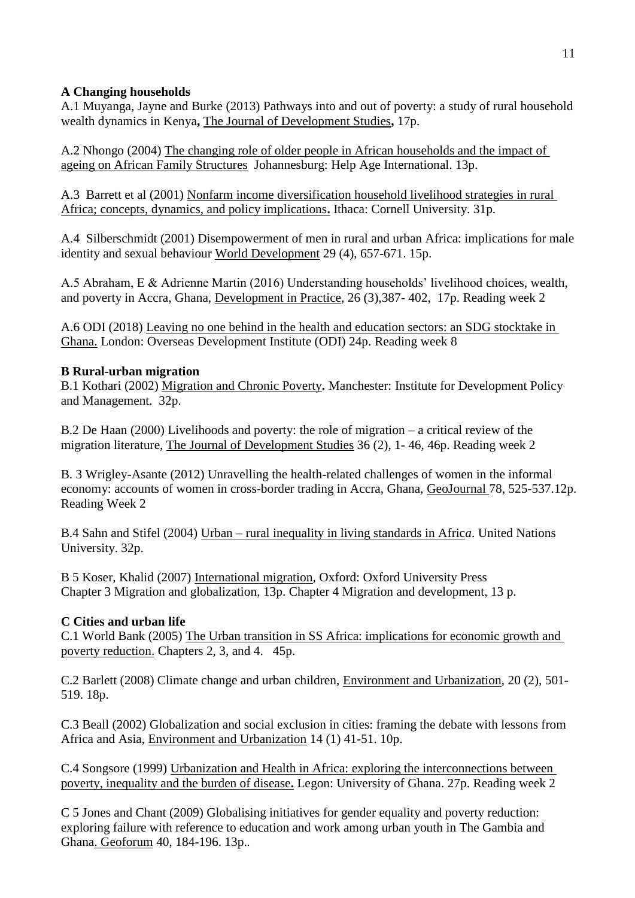# **A Changing households**

A.1 Muyanga, Jayne and Burke (2013) Pathways into and out of poverty: a study of rural household wealth dynamics in Kenya**,** The Journal of Development Studies**,** 17p.

A.2 Nhongo (2004) The changing role of older people in African households and the impact of ageing on African Family Structures Johannesburg: Help Age International. 13p.

A.3 Barrett et al (2001) Nonfarm income diversification household livelihood strategies in rural Africa; concepts, dynamics, and policy implications**.** Ithaca: Cornell University. 31p.

A.4 Silberschmidt (2001) Disempowerment of men in rural and urban Africa: implications for male identity and sexual behaviour World Development 29 (4), 657-671. 15p.

A.5 Abraham, E & Adrienne Martin (2016) Understanding households' livelihood choices, wealth, and poverty in Accra, Ghana, Development in Practice, 26 (3),387- 402, 17p. Reading week 2

A.6 ODI (2018) Leaving no one behind in the health and education sectors: an SDG stocktake in Ghana. London: Overseas Development Institute (ODI) 24p. Reading week 8

# **B Rural-urban migration**

B.1 Kothari (2002) Migration and Chronic Poverty**.** Manchester: Institute for Development Policy and Management. 32p.

B.2 De Haan (2000) Livelihoods and poverty: the role of migration – a critical review of the migration literature, The Journal of Development Studies 36 (2), 1- 46, 46p. Reading week 2

B. 3 Wrigley-Asante (2012) Unravelling the health-related challenges of women in the informal economy: accounts of women in cross-border trading in Accra, Ghana, GeoJournal 78, 525-537.12p. Reading Week 2

B.4 Sahn and Stifel (2004) Urban – rural inequality in living standards in Afric*a*. United Nations University. 32p.

B 5 Koser, Khalid (2007) International migration*,* Oxford: Oxford University Press Chapter 3 Migration and globalization, 13p. Chapter 4 Migration and development, 13 p.

# **C Cities and urban life**

C.1 World Bank (2005) The Urban transition in SS Africa: implications for economic growth and poverty reduction. Chapters 2, 3, and 4. 45p.

C.2 Barlett (2008) Climate change and urban children, Environment and Urbanization, 20 (2), 501- 519. 18p.

C.3 Beall (2002) Globalization and social exclusion in cities: framing the debate with lessons from Africa and Asia, Environment and Urbanization 14 (1) 41-51. 10p.

C.4 Songsore (1999) Urbanization and Health in Africa: exploring the interconnections between poverty, inequality and the burden of disease**.** Legon: University of Ghana. 27p. Reading week 2

C 5 Jones and Chant (2009) Globalising initiatives for gender equality and poverty reduction: exploring failure with reference to education and work among urban youth in The Gambia and Ghana. Geoforum 40, 184-196. 13p.*.*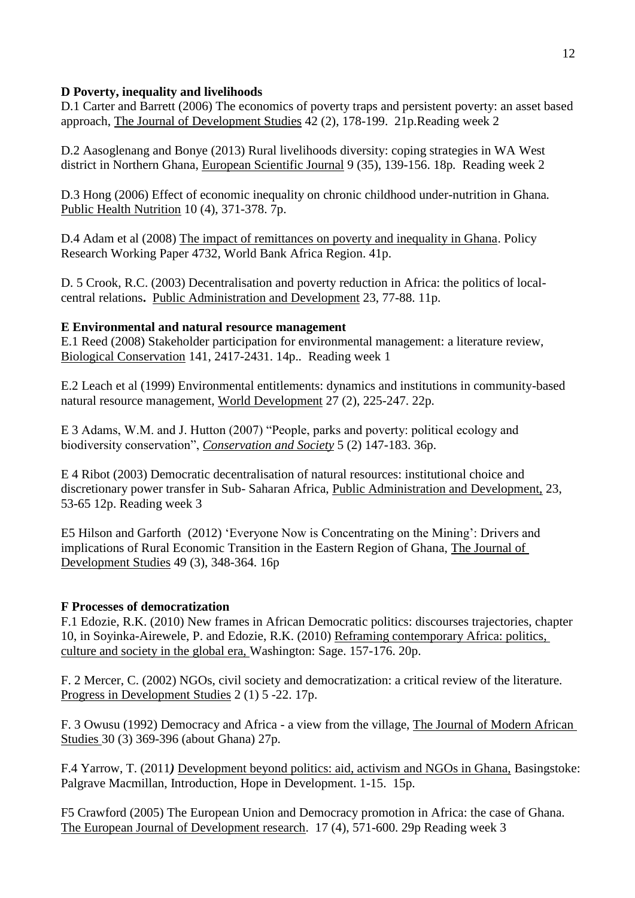# **D Poverty, inequality and livelihoods**

D.1 Carter and Barrett (2006) The economics of poverty traps and persistent poverty: an asset based approach, The Journal of Development Studies 42 (2), 178-199. 21p.Reading week 2

D.2 Aasoglenang and Bonye (2013) Rural livelihoods diversity: coping strategies in WA West district in Northern Ghana, European Scientific Journal 9 (35), 139-156. 18p*.* Reading week 2

D.3 Hong (2006) Effect of economic inequality on chronic childhood under-nutrition in Ghana*.*  Public Health Nutrition 10 (4), 371-378. 7p.

D.4 Adam et al (2008) The impact of remittances on poverty and inequality in Ghana. Policy Research Working Paper 4732, World Bank Africa Region. 41p.

D. 5 Crook, R.C. (2003) Decentralisation and poverty reduction in Africa: the politics of localcentral relations**.** Public Administration and Development 23, 77-88. 11p.

# **E Environmental and natural resource management**

E.1 Reed (2008) Stakeholder participation for environmental management: a literature review, Biological Conservation 141, 2417-2431. 14p.*.* Reading week 1

E.2 Leach et al (1999) Environmental entitlements: dynamics and institutions in community-based natural resource management, World Development 27 (2), 225-247. 22p.

E 3 Adams, W.M. and J. Hutton (2007) "People, parks and poverty: political ecology and biodiversity conservation", *Conservation and Society* 5 (2) 147-183. 36p.

E 4 Ribot (2003) Democratic decentralisation of natural resources: institutional choice and discretionary power transfer in Sub- Saharan Africa, Public Administration and Development, 23, 53-65 12p. Reading week 3

E5 Hilson and Garforth (2012) 'Everyone Now is Concentrating on the Mining': Drivers and implications of Rural Economic Transition in the Eastern Region of Ghana, The Journal of Development Studies 49 (3), 348-364. 16p

# **F Processes of democratization**

F.1 Edozie, R.K. (2010) New frames in African Democratic politics: discourses trajectories, chapter 10, in Soyinka-Airewele, P. and Edozie, R.K. (2010) Reframing contemporary Africa: politics, culture and society in the global era, Washington: Sage. 157-176. 20p.

F. 2 Mercer, C. (2002) NGOs, civil society and democratization: a critical review of the literature*.*  Progress in Development Studies 2 (1) 5 -22. 17p.

F. 3 Owusu (1992) Democracy and Africa - a view from the village, The Journal of Modern African Studies 30 (3) 369-396 (about Ghana) 27p.

F.4 Yarrow, T. (2011*)* Development beyond politics: aid, activism and NGOs in Ghana, Basingstoke: Palgrave Macmillan, Introduction, Hope in Development. 1-15. 15p.

F5 Crawford (2005) The European Union and Democracy promotion in Africa: the case of Ghana. The European Journal of Development research. 17 (4), 571-600. 29p Reading week 3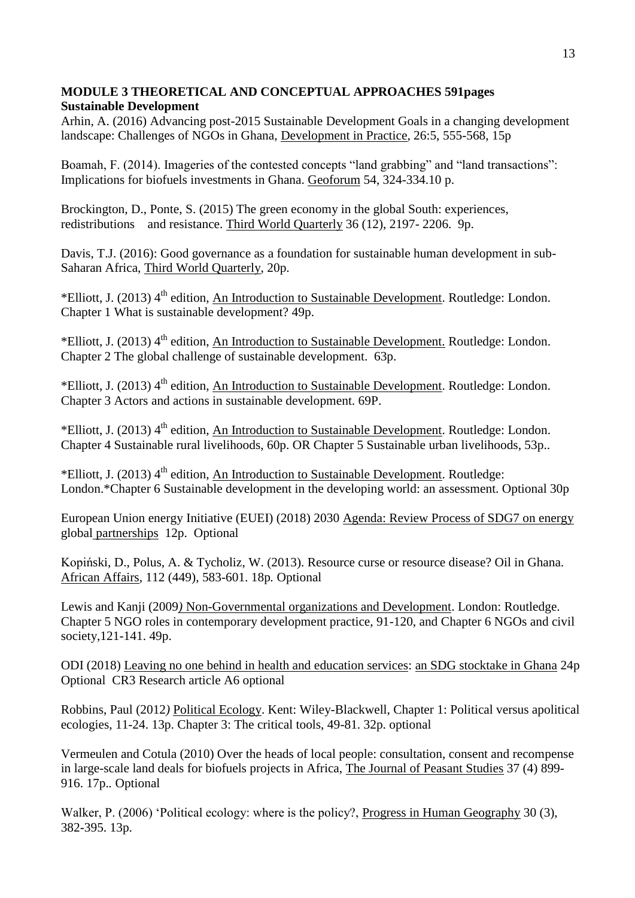# **MODULE 3 THEORETICAL AND CONCEPTUAL APPROACHES 591pages Sustainable Development**

Arhin, A. (2016) Advancing post-2015 Sustainable Development Goals in a changing development landscape: Challenges of NGOs in Ghana, Development in Practice, 26:5, 555-568, 15p

Boamah, F. (2014). Imageries of the contested concepts "land grabbing" and "land transactions": Implications for biofuels investments in Ghana. Geoforum 54, 324-334.10 p.

Brockington, D., Ponte, S. (2015) The green economy in the global South: experiences, redistributions and resistance. Third World Quarterly 36 (12), 2197- 2206. 9p.

Davis, T.J. (2016): Good governance as a foundation for sustainable human development in sub-Saharan Africa, Third World Quarterly, 20p.

\*Elliott, J. (2013) 4<sup>th</sup> edition, An Introduction to Sustainable Development. Routledge: London. Chapter 1 What is sustainable development? 49p.

\*Elliott, J. (2013) 4<sup>th</sup> edition, An Introduction to Sustainable Development. Routledge: London. Chapter 2 The global challenge of sustainable development. 63p.

\*Elliott, J. (2013) 4<sup>th</sup> edition, An Introduction to Sustainable Development. Routledge: London. Chapter 3 Actors and actions in sustainable development. 69P.

\*Elliott, J. (2013)  $4<sup>th</sup>$  edition, An Introduction to Sustainable Development. Routledge: London. Chapter 4 Sustainable rural livelihoods, 60p. OR Chapter 5 Sustainable urban livelihoods, 53p.*.*

\*Elliott, J. (2013) 4<sup>th</sup> edition, An Introduction to Sustainable Development. Routledge: London.\*Chapter 6 Sustainable development in the developing world: an assessment. Optional 30p

European Union energy Initiative (EUEI) (2018) 2030 Agenda: Review Process of SDG7 on energy global partnerships 12p. Optional

Kopiński, D., Polus, A. & Tycholiz, W. (2013). Resource curse or resource disease? Oil in Ghana. African Affairs, 112 (449), 583-601. 18p*.* Optional

Lewis and Kanji (2009*)* Non-Governmental organizations and Development. London: Routledge. Chapter 5 NGO roles in contemporary development practice, 91-120, and Chapter 6 NGOs and civil society,121-141. 49p.

ODI (2018) Leaving no one behind in health and education services: an SDG stocktake in Ghana 24p Optional CR3 Research article A6 optional

Robbins, Paul (2012*)* Political Ecology. Kent: Wiley-Blackwell, Chapter 1: Political versus apolitical ecologies, 11-24. 13p. Chapter 3: The critical tools, 49-81. 32p. optional

Vermeulen and Cotula (2010) Over the heads of local people: consultation, consent and recompense in large-scale land deals for biofuels projects in Africa, The Journal of Peasant Studies 37 (4) 899- 916. 17p.*.* Optional

Walker, P. (2006) 'Political ecology: where is the policy?, Progress in Human Geography 30 (3), 382-395. 13p.